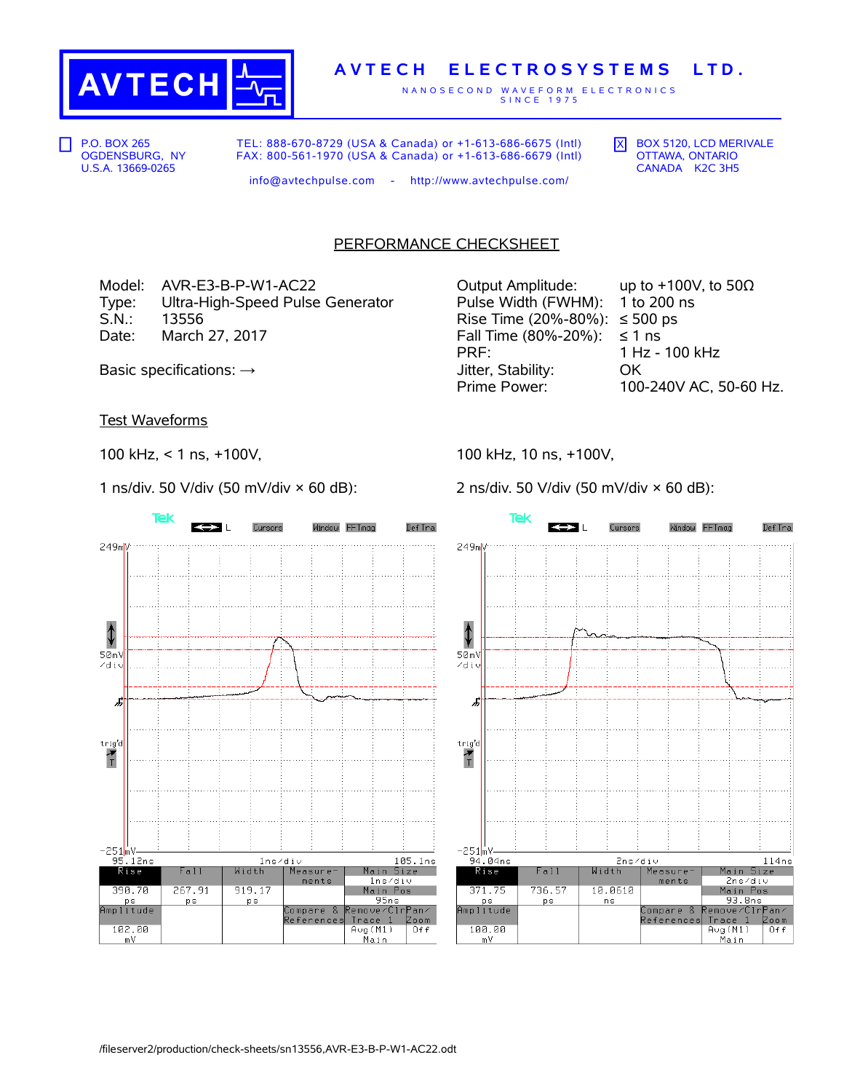

## **A V T E C H E L E C T R O S Y S T E M S L T D .**

N A N O S E C O N D W A V E F O R M E L E C T R O N I C S S I N C E 1 9 7 5

P.O. BOX 265 OGDENSBURG, NY U.S.A. 13669-0265

TEL: 888-670-8729 (USA & Canada) or +1-613-686-6675 (Intl) FAX: 800-561-1970 (USA & Canada) or +1-613-686-6679 (Intl)  $\overline{X}$  BOX 5120, LCD MERIVALE OTTAWA, ONTARIO CANADA K2C 3H5

info@avtechpulse.com - http://www.avtechpulse.com/

PERFORMANCE CHECKSHEET

Model: AVR-E3-B-P-W1-AC22 Output Amplitude: up to +100V, to 50Ω Type: Ultra-High-Speed Pulse Generator Pulse Width (FWHM): 1 to 200 ns<br>S.N.: 13556 Fime (20%-80%): ≤ 500 ps  $13556$  Rise Time (20%-80%): ≤ 500 ps Date: March 27, 2017  $\blacksquare$  Fall Time (80%-20%): ≤ 1 ns

Test Waveforms

100 kHz, < 1 ns, +100V,

1 ns/div. 50 V/div (50 mV/div  $\times$  60 dB):

Tek Cursors Window FFTmag Def Tra  $\leftrightarrow$ 249mV ⇕  $50mV$ zdiu J trig'd  $\frac{1}{T}$  $-251m$  $95.12ns$ 105.1ns  $1ns/div$ Rise Fall Width Measure Main Size  $1$ ns⁄di∪ ments 267.91 919.17 390.70 Main Pos  $95ns$ **ps ps** ps<br>Amplitude Compare &<br>References emove/CirPan/ Trace 1 Zoom 102.00  $Avg(M1)$  $0+f$ <u>Main</u>  $mV$ 

PRF: 1 Hz - 100 kHz Basic specifications: → Jitter, Stability: OK Prime Power: 100-240V AC, 50-60 Hz.

100 kHz, 10 ns, +100V,

2 ns/div. 50 V/div (50 mV/div × 60 dB):

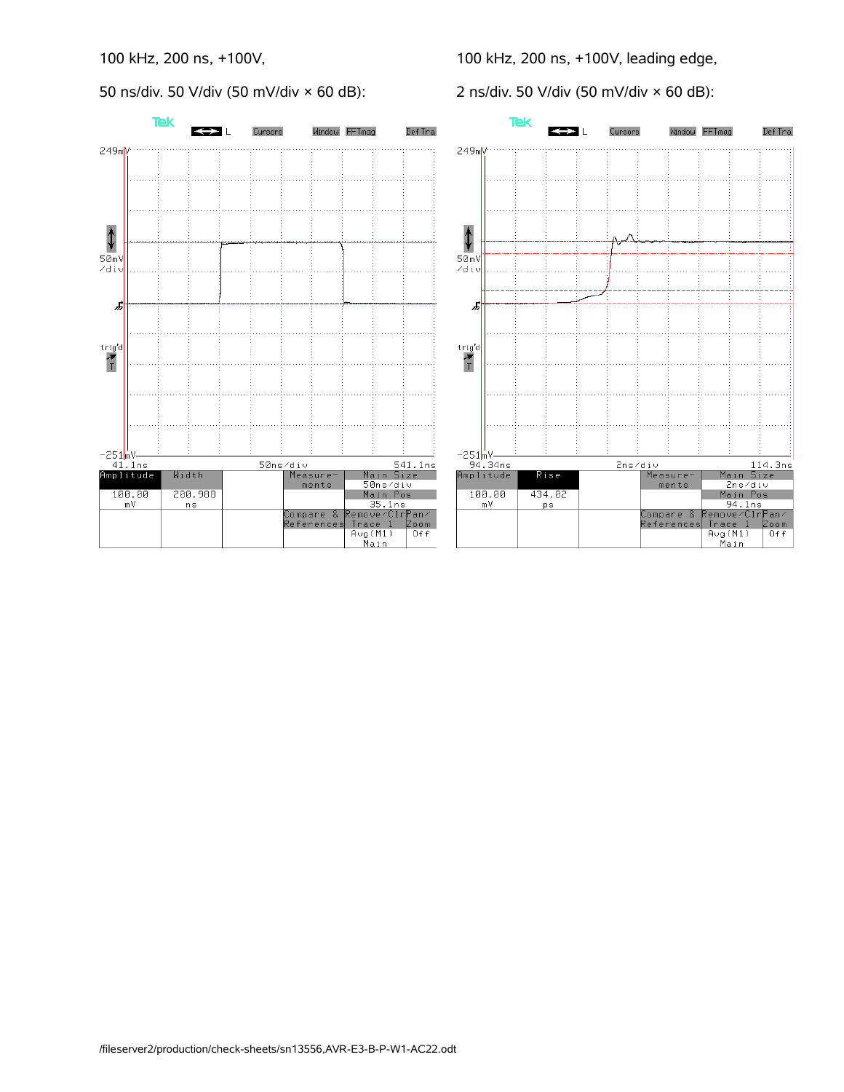50 ns/div. 50 V/div (50 mV/div × 60 dB):

100 kHz, 200 ns, +100V, leading edge,

2 ns/div. 50 V/div (50 mV/div × 60 dB):